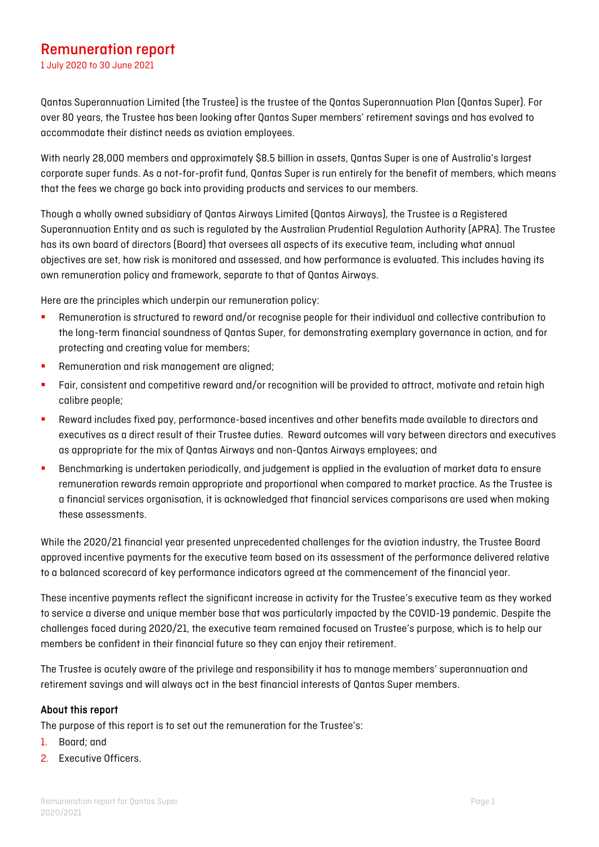# Remuneration report

1 July 2020 to 30 June 2021

Qantas Superannuation Limited (the Trustee) is the trustee of the Qantas Superannuation Plan (Qantas Super). For over 80 years, the Trustee has been looking after Qantas Super members' retirement savings and has evolved to accommodate their distinct needs as aviation employees.

With nearly 28,000 members and approximately \$8.5 billion in assets, Qantas Super is one of Australia's largest corporate super funds. As a not-for-profit fund, Qantas Super is run entirely for the benefit of members, which means that the fees we charge go back into providing products and services to our members.

Though a wholly owned subsidiary of Qantas Airways Limited (Qantas Airways), the Trustee is a Registered Superannuation Entity and as such is regulated by the Australian Prudential Regulation Authority (APRA). The Trustee has its own board of directors (Board) that oversees all aspects of its executive team, including what annual objectives are set, how risk is monitored and assessed, and how performance is evaluated. This includes having its own remuneration policy and framework, separate to that of Qantas Airways.

Here are the principles which underpin our remuneration policy:

- Remuneration is structured to reward and/or recognise people for their individual and collective contribution to the long-term financial soundness of Qantas Super, for demonstrating exemplary governance in action, and for protecting and creating value for members;
- **Remuneration and risk management are aligned;**
- **Fair, consistent and competitive reward and/or recognition will be provided to attract, motivate and retain high** calibre people;
- Reward includes fixed pay, performance-based incentives and other benefits made available to directors and executives as a direct result of their Trustee duties. Reward outcomes will vary between directors and executives as appropriate for the mix of Qantas Airways and non-Qantas Airways employees; and
- Benchmarking is undertaken periodically, and judgement is applied in the evaluation of market data to ensure remuneration rewards remain appropriate and proportional when compared to market practice. As the Trustee is a financial services organisation, it is acknowledged that financial services comparisons are used when making these assessments.

While the 2020/21 financial year presented unprecedented challenges for the aviation industry, the Trustee Board approved incentive payments for the executive team based on its assessment of the performance delivered relative to a balanced scorecard of key performance indicators agreed at the commencement of the financial year.

These incentive payments reflect the significant increase in activity for the Trustee's executive team as they worked to service a diverse and unique member base that was particularly impacted by the COVID-19 pandemic. Despite the challenges faced during 2020/21, the executive team remained focused on Trustee's purpose, which is to help our members be confident in their financial future so they can enjoy their retirement.

The Trustee is acutely aware of the privilege and responsibility it has to manage members' superannuation and retirement savings and will always act in the best financial interests of Qantas Super members.

## About this report

The purpose of this report is to set out the remuneration for the Trustee's:

- 1. Board; and
- 2. Executive Officers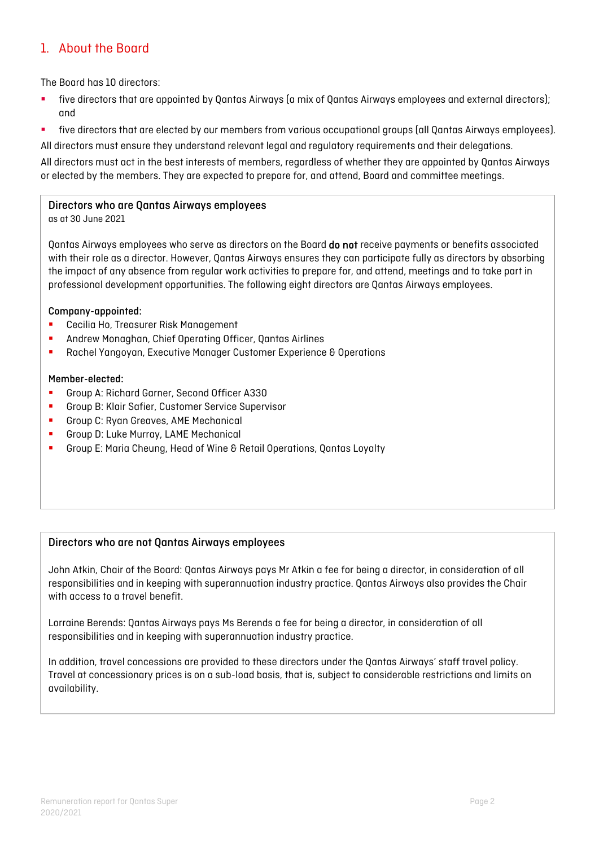## 1. About the Board

The Board has 10 directors:

- five directors that are appointed by Qantas Airways (a mix of Qantas Airways employees and external directors); and
- five directors that are elected by our members from various occupational groups (all Qantas Airways employees).

All directors must ensure they understand relevant legal and regulatory requirements and their delegations.

All directors must act in the best interests of members, regardless of whether they are appointed by Qantas Airways or elected by the members. They are expected to prepare for, and attend, Board and committee meetings.

## Directors who are Qantas Airways employees

as at 30 June 2021

Qantas Airways employees who serve as directors on the Board do not receive payments or benefits associated with their role as a director. However, Qantas Airways ensures they can participate fully as directors by absorbing the impact of any absence from regular work activities to prepare for, and attend, meetings and to take part in professional development opportunities. The following eight directors are Qantas Airways employees.

#### Company-appointed:

- **E** Cecilia Ho, Treasurer Risk Management
- Andrew Monaghan, Chief Operating Officer, Qantas Airlines
- **Rachel Yangoyan, Executive Manager Customer Experience & Operations**

## Member-elected:

- Group A: Richard Garner, Second Officer A330
- **F** Group B: Klair Safier, Customer Service Supervisor
- **Group C: Ryan Greaves, AME Mechanical**
- Group D: Luke Murray, LAME Mechanical
- Group E: Maria Cheung, Head of Wine & Retail Operations, Qantas Loyalty

## Directors who are not Qantas Airways employees

John Atkin, Chair of the Board: Qantas Airways pays Mr Atkin a fee for being a director, in consideration of all responsibilities and in keeping with superannuation industry practice. Qantas Airways also provides the Chair with access to a travel benefit.

Lorraine Berends: Qantas Airways pays Ms Berends a fee for being a director, in consideration of all responsibilities and in keeping with superannuation industry practice.

In addition, travel concessions are provided to these directors under the Qantas Airways' staff travel policy. Travel at concessionary prices is on a sub-load basis, that is, subject to considerable restrictions and limits on availability.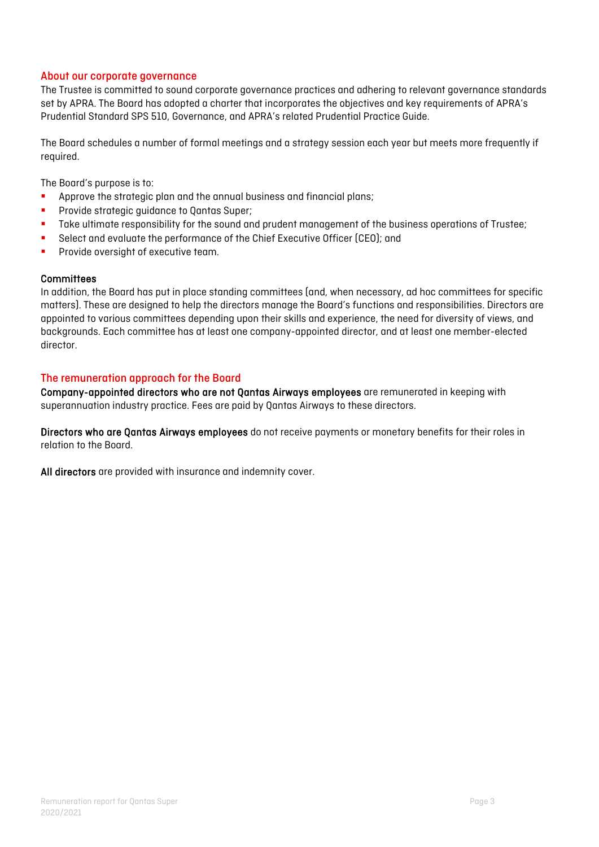## About our corporate governance

The Trustee is committed to sound corporate governance practices and adhering to relevant governance standards set by APRA. The Board has adopted a charter that incorporates the objectives and key requirements of APRA's Prudential Standard SPS 510, Governance, and APRA's related Prudential Practice Guide.

The Board schedules a number of formal meetings and a strategy session each year but meets more frequently if required.

The Board's purpose is to:

- **Approve the strategic plan and the annual business and financial plans;**
- **Provide strategic guidance to Qantas Super;**
- **Take ultimate responsibility for the sound and prudent management of the business operations of Trustee;**
- **Select and evaluate the performance of the Chief Executive Officer (CEO); and**
- **Provide oversight of executive team.**

#### **Committees**

In addition, the Board has put in place standing committees (and, when necessary, ad hoc committees for specific matters). These are designed to help the directors manage the Board's functions and responsibilities. Directors are appointed to various committees depending upon their skills and experience, the need for diversity of views, and backgrounds. Each committee has at least one company-appointed director, and at least one member-elected director.

## The remuneration approach for the Board

Company-appointed directors who are not Qantas Airways employees are remunerated in keeping with superannuation industry practice. Fees are paid by Qantas Airways to these directors.

Directors who are Qantas Airways employees do not receive payments or monetary benefits for their roles in relation to the Board.

All directors are provided with insurance and indemnity cover.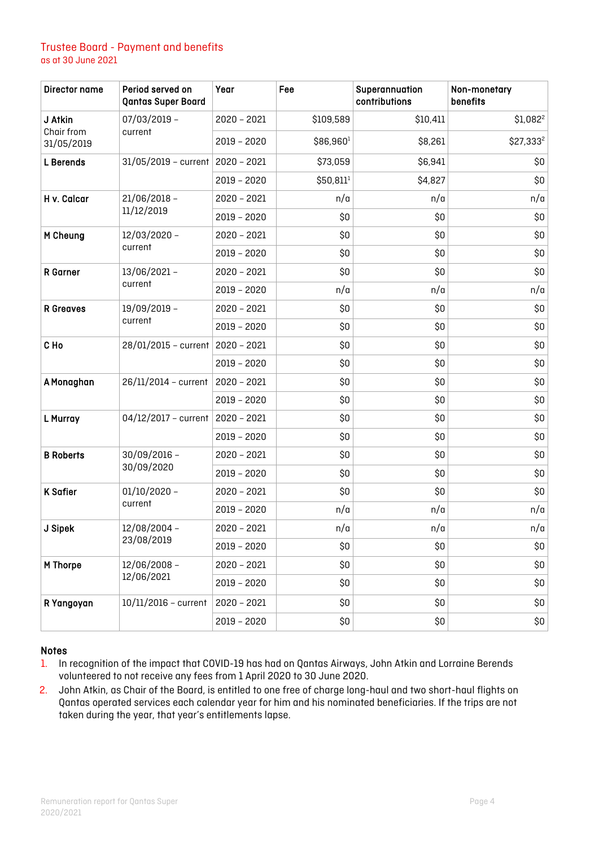## Trustee Board - Payment and benefits as at 30 June 2021

| Director name                       | Period served on<br><b>Qantas Super Board</b> | Year          | Fee       | Superannuation<br>contributions | Non-monetary<br>benefits |
|-------------------------------------|-----------------------------------------------|---------------|-----------|---------------------------------|--------------------------|
| J Atkin<br>Chair from<br>31/05/2019 | 07/03/2019 -<br>current                       | $2020 - 2021$ | \$109,589 | \$10,411                        | $$1,082^2$               |
|                                     |                                               | 2019 - 2020   | \$86,9601 | \$8,261                         | \$27,333 <sup>2</sup>    |
| <b>L</b> Berends                    | $31/05/2019$ - current                        | $2020 - 2021$ | \$73,059  | \$6,941                         | \$0                      |
|                                     |                                               | 2019 - 2020   | \$50,811  | \$4,827                         | \$0                      |
| H v. Calcar                         | 21/06/2018 -<br>11/12/2019                    | $2020 - 2021$ | n/a       | n/a                             | n/a                      |
|                                     |                                               | 2019 - 2020   | \$0       | \$0                             | \$0                      |
| M Cheung                            | 12/03/2020 -<br>current                       | $2020 - 2021$ | \$0       | \$0                             | \$0                      |
|                                     |                                               | 2019 - 2020   | \$0       | \$0                             | \$0                      |
| <b>R</b> Garner                     | 13/06/2021-<br>current                        | 2020 - 2021   | \$0       | \$0                             | \$0                      |
|                                     |                                               | 2019 - 2020   | n/a       | n/a                             | n/a                      |
| <b>R</b> Greaves                    | 19/09/2019 -<br>current                       | $2020 - 2021$ | \$0       | \$0                             | \$0                      |
|                                     |                                               | 2019 - 2020   | \$0       | \$0                             | \$0                      |
| C Ho                                | 28/01/2015 - current                          | $2020 - 2021$ | \$0       | \$0                             | \$0                      |
|                                     |                                               | $2019 - 2020$ | \$0       | \$0                             | \$0                      |
| A Monaghan                          | 26/11/2014 - current                          | $2020 - 2021$ | \$0       | \$0                             | \$0                      |
|                                     |                                               | 2019 - 2020   | \$0       | \$0                             | \$0                      |
| L Murray                            | 04/12/2017 - current                          | $2020 - 2021$ | \$0       | \$0                             | \$0                      |
|                                     |                                               | 2019 - 2020   | \$0       | \$0                             | \$0                      |
| <b>B</b> Roberts                    | 30/09/2016 -<br>30/09/2020                    | $2020 - 2021$ | \$0       | \$0                             | \$0                      |
|                                     |                                               | 2019 - 2020   | \$0       | \$0                             | \$0                      |
| <b>K Safier</b>                     | $01/10/2020 -$<br>current                     | $2020 - 2021$ | \$0       | \$0                             | \$0                      |
|                                     |                                               | 2019 - 2020   | n/a       | n/a                             | n/a                      |
| J Sipek                             | 12/08/2004 -<br>23/08/2019                    | 2020 - 2021   | n/a       | n/a                             | n/a                      |
|                                     |                                               | 2019 - 2020   | \$0       | \$0                             | \$0                      |
| M Thorpe                            | 12/06/2008-<br>12/06/2021                     | $2020 - 2021$ | \$0       | \$0                             | \$0                      |
|                                     |                                               | 2019 - 2020   | \$0       | \$0                             | \$0                      |
| R Yangoyan                          | $10/11/2016$ - current                        | $2020 - 2021$ | \$0       | \$0                             | \$0                      |
|                                     |                                               | 2019 - 2020   | \$0       | \$0                             | \$0                      |

#### Notes

1. In recognition of the impact that COVID-19 has had on Qantas Airways, John Atkin and Lorraine Berends volunteered to not receive any fees from 1 April 2020 to 30 June 2020.

2. John Atkin, as Chair of the Board, is entitled to one free of charge long-haul and two short-haul flights on Qantas operated services each calendar year for him and his nominated beneficiaries. If the trips are not taken during the year, that year's entitlements lapse.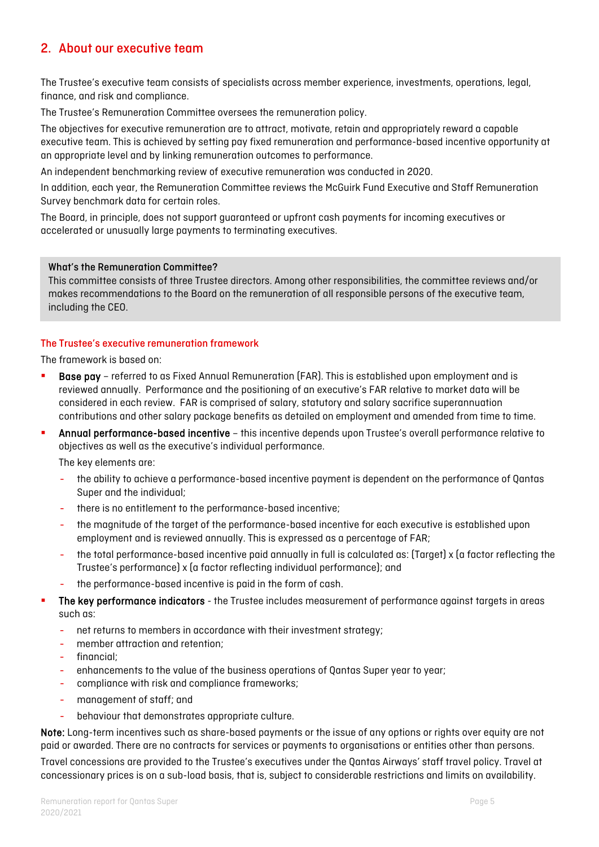## 2. About our executive team

The Trustee's executive team consists of specialists across member experience, investments, operations, legal, finance, and risk and compliance.

The Trustee's Remuneration Committee oversees the remuneration policy.

The objectives for executive remuneration are to attract, motivate, retain and appropriately reward a capable executive team. This is achieved by setting pay fixed remuneration and performance-based incentive opportunity at an appropriate level and by linking remuneration outcomes to performance.

An independent benchmarking review of executive remuneration was conducted in 2020.

In addition, each year, the Remuneration Committee reviews the McGuirk Fund Executive and Staff Remuneration Survey benchmark data for certain roles.

The Board, in principle, does not support guaranteed or upfront cash payments for incoming executives or accelerated or unusually large payments to terminating executives.

#### What's the Remuneration Committee?

This committee consists of three Trustee directors. Among other responsibilities, the committee reviews and/or makes recommendations to the Board on the remuneration of all responsible persons of the executive team, including the CEO.

#### The Trustee's executive remuneration framework

The framework is based on:

- Base pay referred to as Fixed Annual Remuneration (FAR). This is established upon employment and is reviewed annually. Performance and the positioning of an executive's FAR relative to market data will be considered in each review. FAR is comprised of salary, statutory and salary sacrifice superannuation contributions and other salary package benefits as detailed on employment and amended from time to time.
- Annual performance-based incentive this incentive depends upon Trustee's overall performance relative to objectives as well as the executive's individual performance.

The key elements are:

- the ability to achieve a performance-based incentive payment is dependent on the performance of Qantas Super and the individual;
- there is no entitlement to the performance-based incentive;
- the magnitude of the target of the performance-based incentive for each executive is established upon employment and is reviewed annually. This is expressed as a percentage of FAR;
- the total performance-based incentive paid annually in full is calculated as: (Target) x (a factor reflecting the Trustee's performance) x (a factor reflecting individual performance); and
- the performance-based incentive is paid in the form of cash.
- The key performance indicators the Trustee includes measurement of performance against targets in areas such as:
	- net returns to members in accordance with their investment strategy;
	- member attraction and retention;
	- financial;
	- enhancements to the value of the business operations of Qantas Super year to year;
	- compliance with risk and compliance frameworks;
	- management of staff; and
	- behaviour that demonstrates appropriate culture.

Note: Long-term incentives such as share-based payments or the issue of any options or rights over equity are not paid or awarded. There are no contracts for services or payments to organisations or entities other than persons.

Travel concessions are provided to the Trustee's executives under the Qantas Airways' staff travel policy. Travel at concessionary prices is on a sub-load basis, that is, subject to considerable restrictions and limits on availability.